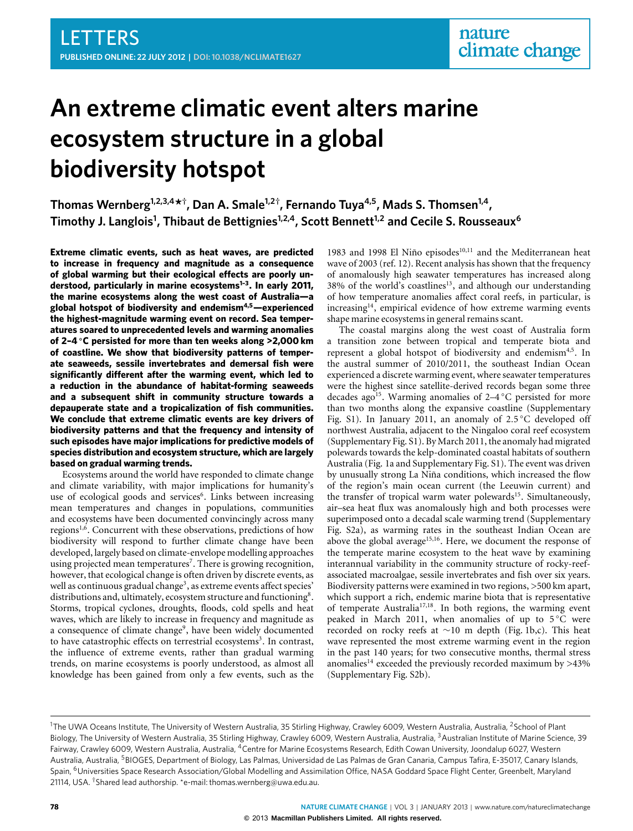# **An extreme climatic event alters marine ecosystem structure in a global biodiversity hotspot**

**Thomas Wernberg1,2,3,4\* † , Dan A. Smale1,2† , Fernando Tuya4,5, Mads S. Thomsen1,4 , Timothy J. Langlois<sup>1</sup> , Thibaut de Bettignies1,2,4, Scott Bennett1,2 and Cecile S. Rousseaux<sup>6</sup>**

**Extreme climatic events, such as heat waves, are predicted to increase in frequency and magnitude as a consequence of global warming but their ecological effects are poorly understood, particularly in marine ecosystems[1–](#page-3-0)[3](#page-3-1). In early 2011, the marine ecosystems along the west coast of Australia—a global hotspot of biodiversity and endemism[4,](#page-3-2)[5](#page-3-3)—experienced the highest-magnitude warming event on record. Sea temperatures soared to unprecedented levels and warming anomalies of 2–4** ◦**C persisted for more than ten weeks along >2,000 km of coastline. We show that biodiversity patterns of temperate seaweeds, sessile invertebrates and demersal fish were significantly different after the warming event, which led to a reduction in the abundance of habitat-forming seaweeds and a subsequent shift in community structure towards a depauperate state and a tropicalization of fish communities. We conclude that extreme climatic events are key drivers of biodiversity patterns and that the frequency and intensity of such episodes have major implications for predictive models of species distribution and ecosystem structure, which are largely based on gradual warming trends.**

Ecosystems around the world have responded to climate change and climate variability, with major implications for humanity's use of ecological goods and services<sup>[6](#page-4-0)</sup>. Links between increasing mean temperatures and changes in populations, communities and ecosystems have been documented convincingly across many regions<sup>[1](#page-3-0)[,6](#page-4-0)</sup>. Concurrent with these observations, predictions of how biodiversity will respond to further climate change have been developed, largely based on climate-envelope modelling approaches using projected mean temperatures<sup>[7](#page-4-1)</sup>. There is growing recognition, however, that ecological change is often driven by discrete events, as well as continuous gradual change<sup>[3](#page-3-1)</sup>, as extreme events affect species' distributions and, ultimately, ecosystem structure and functioning<sup>[8](#page-4-2)</sup>. Storms, tropical cyclones, droughts, floods, cold spells and heat waves, which are likely to increase in frequency and magnitude as a consequence of climate change<sup>[9](#page-4-3)</sup>, have been widely documented to have catastrophic effects on terrestrial ecosystems<sup>[3](#page-3-1)</sup>. In contrast, the influence of extreme events, rather than gradual warming trends, on marine ecosystems is poorly understood, as almost all knowledge has been gained from only a few events, such as the 1983 and 1998 El Niño episodes<sup>[10](#page-4-4)[,11](#page-4-5)</sup> and the Mediterranean heat wave of 2003 (ref. [12\)](#page-4-6). Recent analysis has shown that the frequency of anomalously high seawater temperatures has increased along 38% of the world's coastlines<sup>[13](#page-4-7)</sup>, and although our understanding of how temperature anomalies affect coral reefs, in particular, is increasing<sup>[14](#page-4-8)</sup>, empirical evidence of how extreme warming events shape marine ecosystems in general remains scant.

The coastal margins along the west coast of Australia form a transition zone between tropical and temperate biota and represent a global hotspot of biodiversity and endemism<sup>[4](#page-3-2)[,5](#page-3-3)</sup>. In the austral summer of 2010/2011, the southeast Indian Ocean experienced a discrete warming event, where seawater temperatures were the highest since satellite-derived records began some three decades ago<sup>[15](#page-4-9)</sup>. Warming anomalies of  $2-4$ °C persisted for more than two months along the expansive coastline (Supplementary Fig. S1). In January 2011, an anomaly of 2.5 °C developed off northwest Australia, adjacent to the Ningaloo coral reef ecosystem (Supplementary Fig. S1). By March 2011, the anomaly had migrated polewards towards the kelp-dominated coastal habitats of southern Australia [\(Fig. 1a](#page-1-0) and Supplementary Fig. S1). The event was driven by unusually strong La Niña conditions, which increased the flow of the region's main ocean current (the Leeuwin current) and the transfer of tropical warm water polewards<sup>[15](#page-4-9)</sup>. Simultaneously, air–sea heat flux was anomalously high and both processes were superimposed onto a decadal scale warming trend (Supplementary Fig. S2a), as warming rates in the southeast Indian Ocean are above the global average<sup>[15,](#page-4-9)[16](#page-4-10)</sup>. Here, we document the response of the temperate marine ecosystem to the heat wave by examining interannual variability in the community structure of rocky-reefassociated macroalgae, sessile invertebrates and fish over six years. Biodiversity patterns were examined in two regions, >500 km apart, which support a rich, endemic marine biota that is representative of temperate Australia<sup>[17](#page-4-11)[,18](#page-4-12)</sup>. In both regions, the warming event peaked in March 2011, when anomalies of up to 5 °C were recorded on rocky reefs at ∼10 m depth [\(Fig. 1b](#page-1-0),c). This heat wave represented the most extreme warming event in the region in the past 140 years; for two consecutive months, thermal stress anomalies<sup>[14](#page-4-8)</sup> exceeded the previously recorded maximum by  $>43\%$ (Supplementary Fig. S2b).

<sup>&</sup>lt;sup>1</sup>The UWA Oceans Institute, The University of Western Australia, 35 Stirling Highway, Crawley 6009, Western Australia, Australia, <sup>2</sup>School of Plant Biology, The University of Western Australia, 35 Stirling Highway, Crawley 6009, Western Australia, Australia, <sup>3</sup>Australian Institute of Marine Science, 39 Fairway, Crawley 6009, Western Australia, Australia, <sup>4</sup>Centre for Marine Ecosystems Research, Edith Cowan University, Joondalup 6027, Western Australia, Australia, <sup>5</sup>BIOGES, Department of Biology, Las Palmas, Universidad de Las Palmas de Gran Canaria, Campus Tafira, E-35017, Canary Islands, Spain, <sup>6</sup>Universities Space Research Association/Global Modelling and Assimilation Office, NASA Goddard Space Flight Center, Greenbelt, Maryland 21114, USA. †Shared lead authorship. \*e-mail: [thomas.wernberg@uwa.edu.au.](mailto:thomas.wernberg@uwa.edu.au)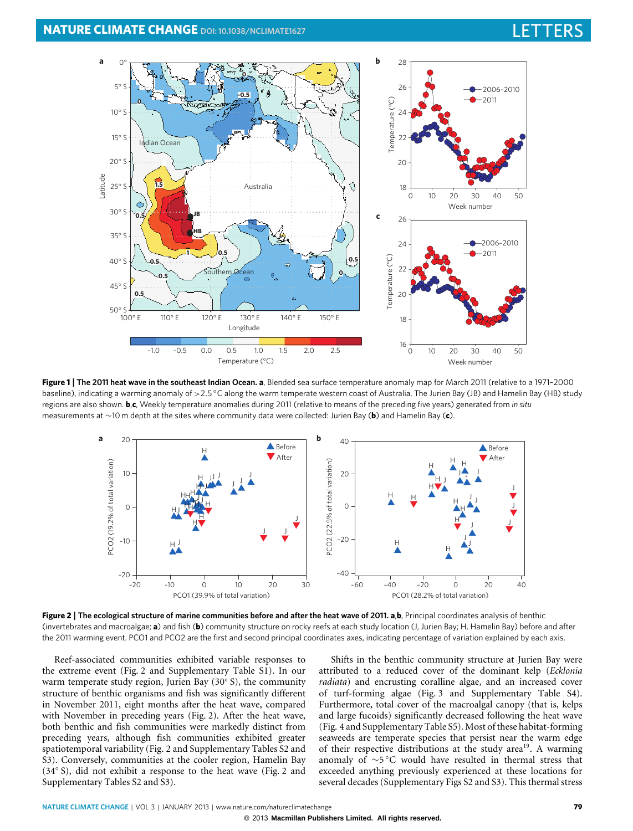# **NATURE CLIMATE CHANGE** DOI[: 10.1038/NCLIMATE1627](http://www.nature.com/doifinder/10.1038/nclimate1627)



<span id="page-1-0"></span>**Figure 1** | **The 2011 heat wave in the southeast Indian Ocean. a**, Blended sea surface temperature anomaly map for March 2011 (relative to a 1971–2000 baseline), indicating a warming anomaly of >2.5 °C along the warm temperate western coast of Australia. The Jurien Bay (JB) and Hamelin Bay (HB) study regions are also shown. **b**,**c**, Weekly temperature anomalies during 2011 (relative to means of the preceding five years) generated from *in situ* measurements at ∼10 m depth at the sites where community data were collected: Jurien Bay (**b**) and Hamelin Bay (**c**).



<span id="page-1-1"></span>**Figure 2** | **The ecological structure of marine communities before and after the heat wave of 2011. a**,**b**, Principal coordinates analysis of benthic (invertebrates and macroalgae; **a**) and fish (**b**) community structure on rocky reefs at each study location (J, Jurien Bay; H, Hamelin Bay) before and after the 2011 warming event. PCO1 and PCO2 are the first and second principal coordinates axes, indicating percentage of variation explained by each axis.

Reef-associated communities exhibited variable responses to the extreme event [\(Fig. 2](#page-1-1) and Supplementary Table S1). In our warm temperate study region, Jurien Bay (30° S), the community structure of benthic organisms and fish was significantly different in November 2011, eight months after the heat wave, compared with November in preceding years [\(Fig. 2\)](#page-1-1). After the heat wave, both benthic and fish communities were markedly distinct from preceding years, although fish communities exhibited greater spatiotemporal variability [\(Fig. 2](#page-1-1) and Supplementary Tables S2 and S3). Conversely, communities at the cooler region, Hamelin Bay (34◦ S), did not exhibit a response to the heat wave [\(Fig. 2](#page-1-1) and Supplementary Tables S2 and S3).

Shifts in the benthic community structure at Jurien Bay were attributed to a reduced cover of the dominant kelp (*Ecklonia radiata*) and encrusting coralline algae, and an increased cover of turf-forming algae [\(Fig. 3](#page-2-0) and Supplementary Table S4). Furthermore, total cover of the macroalgal canopy (that is, kelps and large fucoids) significantly decreased following the heat wave [\(Fig. 4](#page-2-1) and Supplementary Table S5). Most of these habitat-forming seaweeds are temperate species that persist near the warm edge of their respective distributions at the study area<sup>[19](#page-4-13)</sup>. A warming anomaly of ∼5 ◦C would have resulted in thermal stress that exceeded anything previously experienced at these locations for several decades (Supplementary Figs S2 and S3). This thermal stress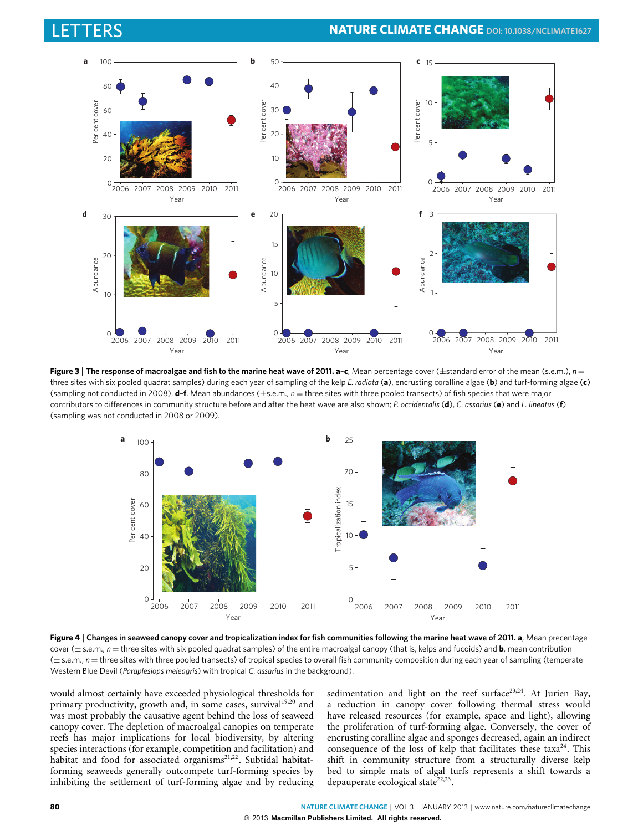

<span id="page-2-0"></span>**Figure 3** | **The response of macroalgae and fish to the marine heat wave of 2011. a**–**c**, Mean percentage cover (±standard error of the mean (s.e.m.), *n* = three sites with six pooled quadrat samples) during each year of sampling of the kelp *E. radiata* (**a**), encrusting coralline algae (**b**) and turf-forming algae (**c**) (sampling not conducted in 2008). **d**–**f**, Mean abundances (±s.e.m., *n* = three sites with three pooled transects) of fish species that were major contributors to differences in community structure before and after the heat wave are also shown; *P. occidentalis* (**d**), *C. assarius* (**e**) and *L. lineatus* (**f**) (sampling was not conducted in 2008 or 2009).



<span id="page-2-1"></span>**Figure 4** | **Changes in seaweed canopy cover and tropicalization index for fish communities following the marine heat wave of 2011. a**, Mean precentage cover (± s.e.m., *n* = three sites with six pooled quadrat samples) of the entire macroalgal canopy (that is, kelps and fucoids) and **b**, mean contribution (± s.e.m., *n* = three sites with three pooled transects) of tropical species to overall fish community composition during each year of sampling (temperate Western Blue Devil (*Paraplesiops meleagris*) with tropical *C. assarius* in the background).

would almost certainly have exceeded physiological thresholds for primary productivity, growth and, in some cases, survival<sup>[19,](#page-4-13)[20](#page-4-14)</sup> and was most probably the causative agent behind the loss of seaweed canopy cover. The depletion of macroalgal canopies on temperate reefs has major implications for local biodiversity, by altering species interactions (for example, competition and facilitation) and habitat and food for associated organisms<sup>[21](#page-4-15)[,22](#page-4-16)</sup>. Subtidal habitatforming seaweeds generally outcompete turf-forming species by inhibiting the settlement of turf-forming algae and by reducing

sedimentation and light on the reef surface<sup>[23,](#page-4-17)[24](#page-4-18)</sup>. At Jurien Bay, a reduction in canopy cover following thermal stress would have released resources (for example, space and light), allowing the proliferation of turf-forming algae. Conversely, the cover of encrusting coralline algae and sponges decreased, again an indirect consequence of the loss of kelp that facilitates these taxa<sup>[24](#page-4-18)</sup>. This shift in community structure from a structurally diverse kelp bed to simple mats of algal turfs represents a shift towards a depauperate ecological state<sup>[22,](#page-4-16)[23](#page-4-17)</sup>.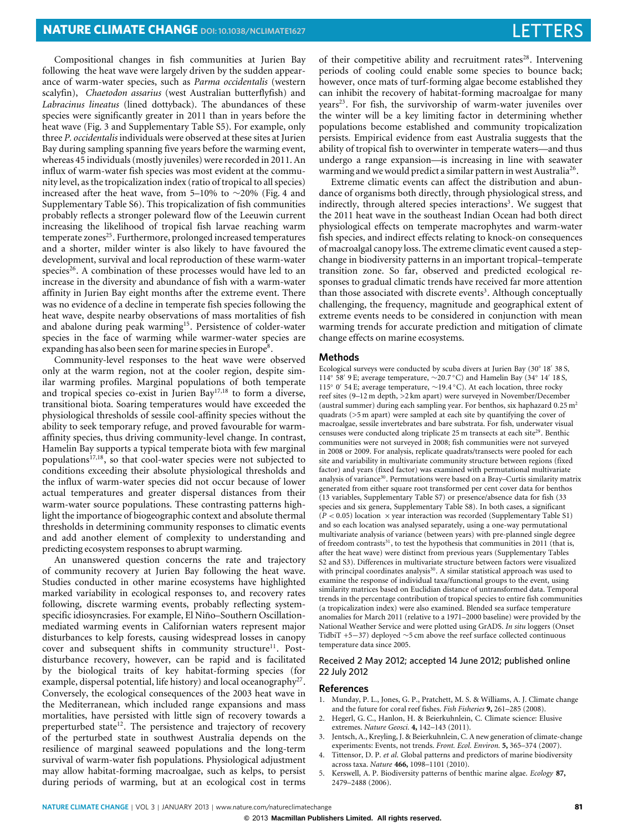Compositional changes in fish communities at Jurien Bay following the heat wave were largely driven by the sudden appearance of warm-water species, such as *Parma occidentalis* (western scalyfin), *Chaetodon assarius* (west Australian butterflyfish) and *Labracinus lineatus* (lined dottyback). The abundances of these species were significantly greater in 2011 than in years before the heat wave [\(Fig. 3](#page-2-0) and Supplementary Table S5). For example, only three *P. occidentalis* individuals were observed at these sites at Jurien Bay during sampling spanning five years before the warming event, whereas 45 individuals (mostly juveniles) were recorded in 2011. An influx of warm-water fish species was most evident at the community level, as the tropicalization index (ratio of tropical to all species) increased after the heat wave, from 5–10% to ∼20% [\(Fig. 4](#page-2-1) and Supplementary Table S6). This tropicalization of fish communities probably reflects a stronger poleward flow of the Leeuwin current increasing the likelihood of tropical fish larvae reaching warm temperate zones<sup>[25](#page-4-19)</sup>. Furthermore, prolonged increased temperatures and a shorter, milder winter is also likely to have favoured the development, survival and local reproduction of these warm-water species<sup>[26](#page-4-20)</sup>. A combination of these processes would have led to an increase in the diversity and abundance of fish with a warm-water affinity in Jurien Bay eight months after the extreme event. There was no evidence of a decline in temperate fish species following the heat wave, despite nearby observations of mass mortalities of fish and abalone during peak warming<sup>[15](#page-4-9)</sup>. Persistence of colder-water species in the face of warming while warmer-water species are expanding has also been seen for marine species in Europe<sup>[8](#page-4-2)</sup>.

Community-level responses to the heat wave were observed only at the warm region, not at the cooler region, despite similar warming profiles. Marginal populations of both temperate and tropical species co-exist in Jurien Bay<sup>[17](#page-4-11)[,18](#page-4-12)</sup> to form a diverse, transitional biota. Soaring temperatures would have exceeded the physiological thresholds of sessile cool-affinity species without the ability to seek temporary refuge, and proved favourable for warmaffinity species, thus driving community-level change. In contrast, Hamelin Bay supports a typical temperate biota with few marginal populations<sup>[17](#page-4-11)[,18](#page-4-12)</sup>, so that cool-water species were not subjected to conditions exceeding their absolute physiological thresholds and the influx of warm-water species did not occur because of lower actual temperatures and greater dispersal distances from their warm-water source populations. These contrasting patterns highlight the importance of biogeographic context and absolute thermal thresholds in determining community responses to climatic events and add another element of complexity to understanding and predicting ecosystem responses to abrupt warming.

An unanswered question concerns the rate and trajectory of community recovery at Jurien Bay following the heat wave. Studies conducted in other marine ecosystems have highlighted marked variability in ecological responses to, and recovery rates following, discrete warming events, probably reflecting systemspecific idiosyncrasies. For example, El Niño–Southern Oscillationmediated warming events in Californian waters represent major disturbances to kelp forests, causing widespread losses in canopy cover and subsequent shifts in community structure<sup>[11](#page-4-5)</sup>. Postdisturbance recovery, however, can be rapid and is facilitated by the biological traits of key habitat-forming species (for example, dispersal potential, life history) and local oceanography<sup>[27](#page-4-21)</sup>. Conversely, the ecological consequences of the 2003 heat wave in the Mediterranean, which included range expansions and mass mortalities, have persisted with little sign of recovery towards a preperturbed state<sup>[12](#page-4-6)</sup>. The persistence and trajectory of recovery of the perturbed state in southwest Australia depends on the resilience of marginal seaweed populations and the long-term survival of warm-water fish populations. Physiological adjustment may allow habitat-forming macroalgae, such as kelps, to persist during periods of warming, but at an ecological cost in terms of their competitive ability and recruitment rates<sup>[28](#page-4-22)</sup>. Intervening periods of cooling could enable some species to bounce back; however, once mats of turf-forming algae become established they can inhibit the recovery of habitat-forming macroalgae for many years<sup>[23](#page-4-17)</sup>. For fish, the survivorship of warm-water juveniles over the winter will be a key limiting factor in determining whether populations become established and community tropicalization persists. Empirical evidence from east Australia suggests that the ability of tropical fish to overwinter in temperate waters—and thus undergo a range expansion—is increasing in line with seawater warming and we would predict a similar pattern in west Australia<sup>[26](#page-4-20)</sup>.

Extreme climatic events can affect the distribution and abundance of organisms both directly, through physiological stress, and indirectly, through altered species interactions<sup>[3](#page-3-1)</sup>. We suggest that the 2011 heat wave in the southeast Indian Ocean had both direct physiological effects on temperate macrophytes and warm-water fish species, and indirect effects relating to knock-on consequences of macroalgal canopy loss. The extreme climatic event caused a stepchange in biodiversity patterns in an important tropical–temperate transition zone. So far, observed and predicted ecological responses to gradual climatic trends have received far more attention than those associated with discrete events<sup>[3](#page-3-1)</sup>. Although conceptually challenging, the frequency, magnitude and geographical extent of extreme events needs to be considered in conjunction with mean warming trends for accurate prediction and mitigation of climate change effects on marine ecosystems.

### **Methods**

Ecological surveys were conducted by scuba divers at Jurien Bay (30° 18' 38 S, 114° 58' 9 E; average temperature, ~20.7 °C) and Hamelin Bay (34° 14' 18 S, 115◦ 0 0 54 E; average temperature, ∼19.4 ◦C). At each location, three rocky reef sites (9–12 m depth, >2 km apart) were surveyed in November/December (austral summer) during each sampling year. For benthos, six haphazard 0.25 m<sup>2</sup> quadrats (>5 m apart) were sampled at each site by quantifying the cover of macroalgae, sessile invertebrates and bare substrata. For fish, underwater visual censuses were conducted along triplicate 25 m transects at each site<sup>[29](#page-4-23)</sup>. Benthic communities were not surveyed in 2008; fish communities were not surveyed in 2008 or 2009. For analysis, replicate quadrats/transects were pooled for each site and variability in multivariate community structure between regions (fixed factor) and years (fixed factor) was examined with permutational multivariate analysis of variance<sup>[30](#page-4-24)</sup>. Permutations were based on a Bray–Curtis similarity matrix generated from either square root transformed per cent cover data for benthos (13 variables, Supplementary Table S7) or presence/absence data for fish (33 species and six genera, Supplementary Table S8). In both cases, a significant  $(P < 0.05)$  location  $\times$  year interaction was recorded (Supplementary Table S1) and so each location was analysed separately, using a one-way permutational multivariate analysis of variance (between years) with pre-planned single degree of freedom contrasts<sup>[31](#page-4-25)</sup>, to test the hypothesis that communities in 2011 (that is, after the heat wave) were distinct from previous years (Supplementary Tables S2 and S3). Differences in multivariate structure between factors were visualized with principal coordinates analysis<sup>[30](#page-4-24)</sup>. A similar statistical approach was used to examine the response of individual taxa/functional groups to the event, using similarity matrices based on Euclidian distance of untransformed data. Temporal trends in the percentage contribution of tropical species to entire fish communities (a tropicalization index) were also examined. Blended sea surface temperature anomalies for March 2011 (relative to a 1971–2000 baseline) were provided by the National Weather Service and were plotted using GrADS. *In situ* loggers (Onset TidbiT +5−37) deployed ∼5 cm above the reef surface collected continuous temperature data since 2005.

### Received 2 May 2012; accepted 14 June 2012; published online 22 July 2012

### **References**

- <span id="page-3-0"></span>1. Munday, P. L., Jones, G. P., Pratchett, M. S. & Williams, A. J. Climate change and the future for coral reef fishes. *Fish Fisheries* **9,** 261–285 (2008).
- 2. Hegerl, G. C., Hanlon, H. & Beierkuhnlein, C. Climate science: Elusive extremes. *Nature Geosci.* **4,** 142–143 (2011).
- <span id="page-3-1"></span>Jentsch, A., Kreyling, J. & Beierkuhnlein, C. A new generation of climate-change experiments: Events, not trends. *Front. Ecol. Environ.* **5,** 365–374 (2007).
- <span id="page-3-2"></span>4. Tittensor, D. P. *et al*. Global patterns and predictors of marine biodiversity across taxa. *Nature* **466,** 1098–1101 (2010).
- <span id="page-3-3"></span>5. Kerswell, A. P. Biodiversity patterns of benthic marine algae. *Ecology* **87,** 2479–2488 (2006).